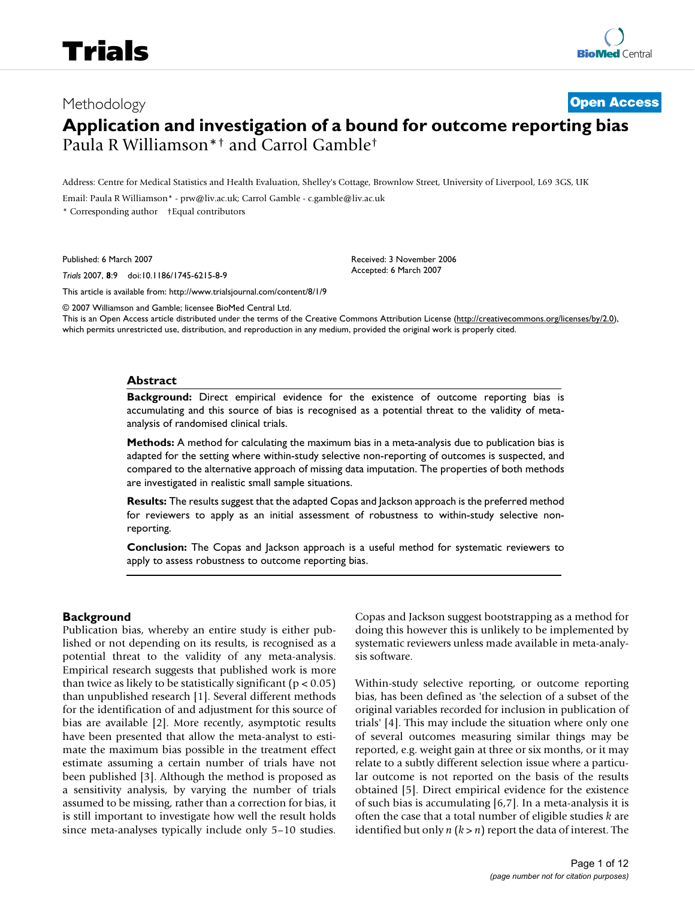# Methodology **[Open Access](http://www.biomedcentral.com/info/about/charter/) Application and investigation of a bound for outcome reporting bias** Paula R Williamson\*† and Carrol Gamble†

Address: Centre for Medical Statistics and Health Evaluation, Shelley's Cottage, Brownlow Street, University of Liverpool, L69 3GS, UK Email: Paula R Williamson\* - prw@liv.ac.uk; Carrol Gamble - c.gamble@liv.ac.uk \* Corresponding author †Equal contributors

Published: 6 March 2007

*Trials* 2007, **8**:9 doi:10.1186/1745-6215-8-9

[This article is available from: http://www.trialsjournal.com/content/8/1/9](http://www.trialsjournal.com/content/8/1/9)

© 2007 Williamson and Gamble; licensee BioMed Central Ltd.

This is an Open Access article distributed under the terms of the Creative Commons Attribution License [\(http://creativecommons.org/licenses/by/2.0\)](http://creativecommons.org/licenses/by/2.0), which permits unrestricted use, distribution, and reproduction in any medium, provided the original work is properly cited.

Received: 3 November 2006 Accepted: 6 March 2007

#### **Abstract**

**Background:** Direct empirical evidence for the existence of outcome reporting bias is accumulating and this source of bias is recognised as a potential threat to the validity of metaanalysis of randomised clinical trials.

**Methods:** A method for calculating the maximum bias in a meta-analysis due to publication bias is adapted for the setting where within-study selective non-reporting of outcomes is suspected, and compared to the alternative approach of missing data imputation. The properties of both methods are investigated in realistic small sample situations.

**Results:** The results suggest that the adapted Copas and Jackson approach is the preferred method for reviewers to apply as an initial assessment of robustness to within-study selective nonreporting.

**Conclusion:** The Copas and Jackson approach is a useful method for systematic reviewers to apply to assess robustness to outcome reporting bias.

## **Background**

Publication bias, whereby an entire study is either published or not depending on its results, is recognised as a potential threat to the validity of any meta-analysis. Empirical research suggests that published work is more than twice as likely to be statistically significant ( $p < 0.05$ ) than unpublished research [1]. Several different methods for the identification of and adjustment for this source of bias are available [2]. More recently, asymptotic results have been presented that allow the meta-analyst to estimate the maximum bias possible in the treatment effect estimate assuming a certain number of trials have not been published [3]. Although the method is proposed as a sensitivity analysis, by varying the number of trials assumed to be missing, rather than a correction for bias, it is still important to investigate how well the result holds since meta-analyses typically include only 5–10 studies. Copas and Jackson suggest bootstrapping as a method for doing this however this is unlikely to be implemented by systematic reviewers unless made available in meta-analysis software.

Within-study selective reporting, or outcome reporting bias, has been defined as 'the selection of a subset of the original variables recorded for inclusion in publication of trials' [4]. This may include the situation where only one of several outcomes measuring similar things may be reported, e.g. weight gain at three or six months, or it may relate to a subtly different selection issue where a particular outcome is not reported on the basis of the results obtained [5]. Direct empirical evidence for the existence of such bias is accumulating [6,7]. In a meta-analysis it is often the case that a total number of eligible studies *k* are identified but only *n* (*k* > *n*) report the data of interest. The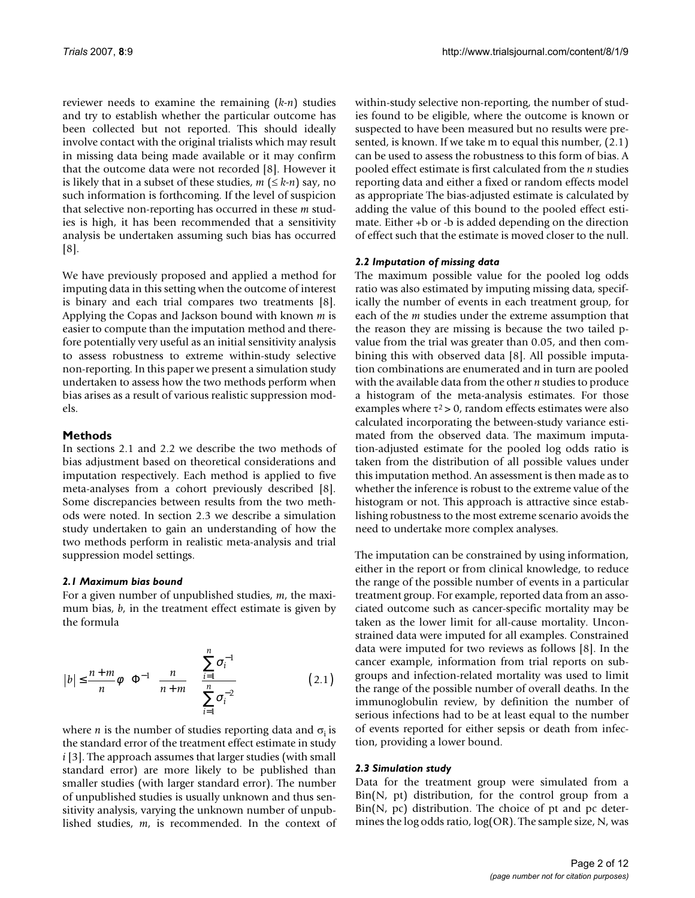reviewer needs to examine the remaining (*k-n*) studies and try to establish whether the particular outcome has been collected but not reported. This should ideally involve contact with the original trialists which may result in missing data being made available or it may confirm that the outcome data were not recorded [8]. However it is likely that in a subset of these studies,  $m$  ( $\leq k-n$ ) say, no such information is forthcoming. If the level of suspicion that selective non-reporting has occurred in these *m* studies is high, it has been recommended that a sensitivity analysis be undertaken assuming such bias has occurred [8].

We have previously proposed and applied a method for imputing data in this setting when the outcome of interest is binary and each trial compares two treatments [8]. Applying the Copas and Jackson bound with known *m* is easier to compute than the imputation method and therefore potentially very useful as an initial sensitivity analysis to assess robustness to extreme within-study selective non-reporting. In this paper we present a simulation study undertaken to assess how the two methods perform when bias arises as a result of various realistic suppression models.

## **Methods**

In sections 2.1 and 2.2 we describe the two methods of bias adjustment based on theoretical considerations and imputation respectively. Each method is applied to five meta-analyses from a cohort previously described [8]. Some discrepancies between results from the two methods were noted. In section 2.3 we describe a simulation study undertaken to gain an understanding of how the two methods perform in realistic meta-analysis and trial suppression model settings.

#### *2.1 Maximum bias bound*

For a given number of unpublished studies, *m*, the maximum bias,  $b$ , in the treatment effect estimate is given by the formula

$$
|b| \le \frac{n+m}{n} \phi \left\{ \Phi^{-1} \left( \frac{n}{n+m} \right) \right\} \frac{\sum_{i=1}^{n} \sigma_i^{-1}}{\sum_{i=1}^{n} \sigma_i^{-2}} \tag{2.1}
$$

where *n* is the number of studies reporting data and  $\sigma_i$  is the standard error of the treatment effect estimate in study *i* [3]. The approach assumes that larger studies (with small standard error) are more likely to be published than smaller studies (with larger standard error). The number of unpublished studies is usually unknown and thus sensitivity analysis, varying the unknown number of unpublished studies, *m*, is recommended. In the context of within-study selective non-reporting, the number of studies found to be eligible, where the outcome is known or suspected to have been measured but no results were presented, is known. If we take m to equal this number, (2.1) can be used to assess the robustness to this form of bias. A pooled effect estimate is first calculated from the *n* studies reporting data and either a fixed or random effects model as appropriate The bias-adjusted estimate is calculated by adding the value of this bound to the pooled effect estimate. Either +b or -b is added depending on the direction of effect such that the estimate is moved closer to the null.

## *2.2 Imputation of missing data*

The maximum possible value for the pooled log odds ratio was also estimated by imputing missing data, specifically the number of events in each treatment group, for each of the *m* studies under the extreme assumption that the reason they are missing is because the two tailed pvalue from the trial was greater than 0.05, and then combining this with observed data [8]. All possible imputation combinations are enumerated and in turn are pooled with the available data from the other *n* studies to produce a histogram of the meta-analysis estimates. For those examples where  $\tau^2 > 0$ , random effects estimates were also calculated incorporating the between-study variance estimated from the observed data. The maximum imputation-adjusted estimate for the pooled log odds ratio is taken from the distribution of all possible values under this imputation method. An assessment is then made as to whether the inference is robust to the extreme value of the histogram or not. This approach is attractive since establishing robustness to the most extreme scenario avoids the need to undertake more complex analyses.

The imputation can be constrained by using information, either in the report or from clinical knowledge, to reduce the range of the possible number of events in a particular treatment group. For example, reported data from an associated outcome such as cancer-specific mortality may be taken as the lower limit for all-cause mortality. Unconstrained data were imputed for all examples. Constrained data were imputed for two reviews as follows [8]. In the cancer example, information from trial reports on subgroups and infection-related mortality was used to limit the range of the possible number of overall deaths. In the immunoglobulin review, by definition the number of serious infections had to be at least equal to the number of events reported for either sepsis or death from infection, providing a lower bound.

## *2.3 Simulation study*

Data for the treatment group were simulated from a  $Bin(N, pt)$  distribution, for the control group from a  $Bin(N, pc)$  distribution. The choice of pt and pc determines the log odds ratio, log(OR). The sample size, N, was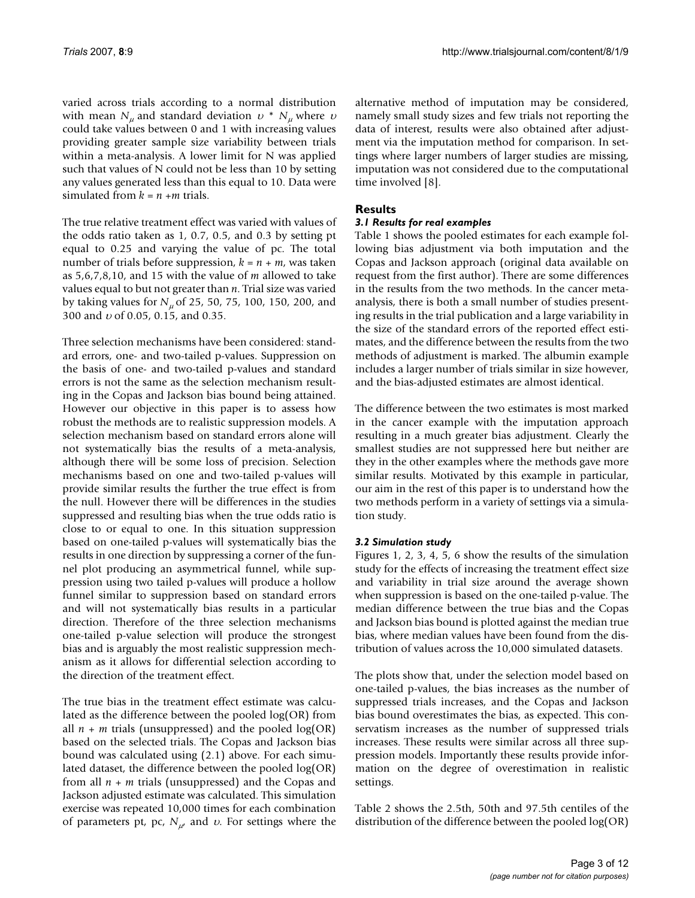varied across trials according to a normal distribution with mean  $N_\mu$  and standard deviation  $v^* N_\mu$  where  $v$ could take values between 0 and 1 with increasing values providing greater sample size variability between trials within a meta-analysis. A lower limit for N was applied such that values of N could not be less than 10 by setting any values generated less than this equal to 10. Data were simulated from  $k = n + m$  trials.

The true relative treatment effect was varied with values of the odds ratio taken as 1, 0.7, 0.5, and 0.3 by setting pt equal to 0.25 and varying the value of pc. The total number of trials before suppression,  $k = n + m$ , was taken as 5,6,7,8,10, and 15 with the value of *m* allowed to take values equal to but not greater than *n*. Trial size was varied by taking values for *N*<sup>µ</sup> of 25, 50, 75, 100, 150, 200, and 300 and <sup>υ</sup> of 0.05, 0.15, and 0.35.

Three selection mechanisms have been considered: standard errors, one- and two-tailed p-values. Suppression on the basis of one- and two-tailed p-values and standard errors is not the same as the selection mechanism resulting in the Copas and Jackson bias bound being attained. However our objective in this paper is to assess how robust the methods are to realistic suppression models. A selection mechanism based on standard errors alone will not systematically bias the results of a meta-analysis, although there will be some loss of precision. Selection mechanisms based on one and two-tailed p-values will provide similar results the further the true effect is from the null. However there will be differences in the studies suppressed and resulting bias when the true odds ratio is close to or equal to one. In this situation suppression based on one-tailed p-values will systematically bias the results in one direction by suppressing a corner of the funnel plot producing an asymmetrical funnel, while suppression using two tailed p-values will produce a hollow funnel similar to suppression based on standard errors and will not systematically bias results in a particular direction. Therefore of the three selection mechanisms one-tailed p-value selection will produce the strongest bias and is arguably the most realistic suppression mechanism as it allows for differential selection according to the direction of the treatment effect.

The true bias in the treatment effect estimate was calculated as the difference between the pooled log(OR) from all  $n + m$  trials (unsuppressed) and the pooled log(OR) based on the selected trials. The Copas and Jackson bias bound was calculated using (2.1) above. For each simulated dataset, the difference between the pooled log(OR) from all *n* + *m* trials (unsuppressed) and the Copas and Jackson adjusted estimate was calculated. This simulation exercise was repeated 10,000 times for each combination of parameters pt, pc,  $N_{\mu}$  and v. For settings where the alternative method of imputation may be considered, namely small study sizes and few trials not reporting the data of interest, results were also obtained after adjustment via the imputation method for comparison. In settings where larger numbers of larger studies are missing, imputation was not considered due to the computational time involved [8].

# **Results**

## *3.1 Results for real examples*

Table 1 shows the pooled estimates for each example following bias adjustment via both imputation and the Copas and Jackson approach (original data available on request from the first author). There are some differences in the results from the two methods. In the cancer metaanalysis, there is both a small number of studies presenting results in the trial publication and a large variability in the size of the standard errors of the reported effect estimates, and the difference between the results from the two methods of adjustment is marked. The albumin example includes a larger number of trials similar in size however, and the bias-adjusted estimates are almost identical.

The difference between the two estimates is most marked in the cancer example with the imputation approach resulting in a much greater bias adjustment. Clearly the smallest studies are not suppressed here but neither are they in the other examples where the methods gave more similar results. Motivated by this example in particular, our aim in the rest of this paper is to understand how the two methods perform in a variety of settings via a simulation study.

## *3.2 Simulation study*

Figures 1, 2, 3, 4, 5, 6 show the results of the simulation study for the effects of increasing the treatment effect size and variability in trial size around the average shown when suppression is based on the one-tailed p-value. The median difference between the true bias and the Copas and Jackson bias bound is plotted against the median true bias, where median values have been found from the distribution of values across the 10,000 simulated datasets.

The plots show that, under the selection model based on one-tailed p-values, the bias increases as the number of suppressed trials increases, and the Copas and Jackson bias bound overestimates the bias, as expected. This conservatism increases as the number of suppressed trials increases. These results were similar across all three suppression models. Importantly these results provide information on the degree of overestimation in realistic settings.

Table 2 shows the 2.5th, 50th and 97.5th centiles of the distribution of the difference between the pooled log(OR)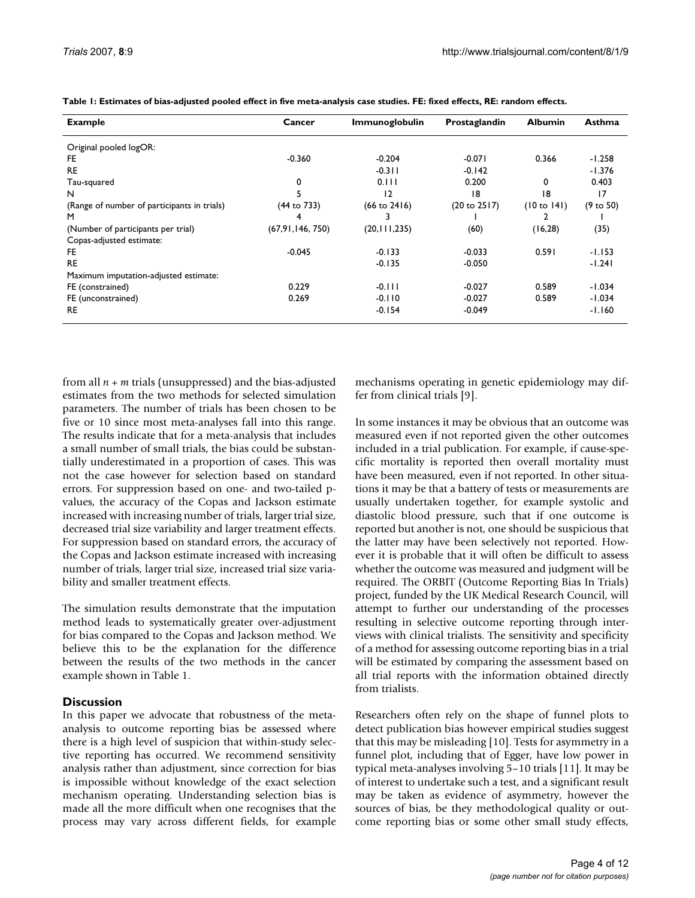| <b>Example</b>                              | Cancer             | Immunoglobulin          | Prostaglandin           | <b>Albumin</b>         | <b>Asthma</b> |
|---------------------------------------------|--------------------|-------------------------|-------------------------|------------------------|---------------|
| Original pooled logOR:                      |                    |                         |                         |                        |               |
| FE.                                         | $-0.360$           | $-0.204$                | $-0.071$                | 0.366                  | $-1.258$      |
| <b>RE</b>                                   |                    | $-0.3$                  | $-0.142$                |                        | $-1.376$      |
| Tau-squared                                 | 0                  | 0.111                   | 0.200                   | 0                      | 0.403         |
| N                                           |                    | 12                      | 18                      | 18                     | 17            |
| (Range of number of participants in trials) | (44 to 733)        | $(66 \text{ to } 2416)$ | $(20 \text{ to } 2517)$ | $(10 \text{ to } 141)$ | (9 to 50)     |
| м                                           | 4                  |                         |                         | 2                      |               |
| (Number of participants per trial)          | (67, 91, 146, 750) | (20, 111, 235)          | (60)                    | (16, 28)               | (35)          |
| Copas-adjusted estimate:                    |                    |                         |                         |                        |               |
| FE                                          | $-0.045$           | $-0.133$                | $-0.033$                | 0.591                  | $-1.153$      |
| RE                                          |                    | $-0.135$                | $-0.050$                |                        | $-1.241$      |
| Maximum imputation-adjusted estimate:       |                    |                         |                         |                        |               |
| FE (constrained)                            | 0.229              | $-0.111$                | $-0.027$                | 0.589                  | $-1.034$      |
| FE (unconstrained)                          | 0.269              | $-0.110$                | $-0.027$                | 0.589                  | $-1.034$      |
| RE                                          |                    | $-0.154$                | $-0.049$                |                        | $-1.160$      |

**Table 1: Estimates of bias-adjusted pooled effect in five meta-analysis case studies. FE: fixed effects, RE: random effects.**

from all *n* + *m* trials (unsuppressed) and the bias-adjusted estimates from the two methods for selected simulation parameters. The number of trials has been chosen to be five or 10 since most meta-analyses fall into this range. The results indicate that for a meta-analysis that includes a small number of small trials, the bias could be substantially underestimated in a proportion of cases. This was not the case however for selection based on standard errors. For suppression based on one- and two-tailed pvalues, the accuracy of the Copas and Jackson estimate increased with increasing number of trials, larger trial size, decreased trial size variability and larger treatment effects. For suppression based on standard errors, the accuracy of the Copas and Jackson estimate increased with increasing number of trials, larger trial size, increased trial size variability and smaller treatment effects.

The simulation results demonstrate that the imputation method leads to systematically greater over-adjustment for bias compared to the Copas and Jackson method. We believe this to be the explanation for the difference between the results of the two methods in the cancer example shown in Table 1.

## **Discussion**

In this paper we advocate that robustness of the metaanalysis to outcome reporting bias be assessed where there is a high level of suspicion that within-study selective reporting has occurred. We recommend sensitivity analysis rather than adjustment, since correction for bias is impossible without knowledge of the exact selection mechanism operating. Understanding selection bias is made all the more difficult when one recognises that the process may vary across different fields, for example mechanisms operating in genetic epidemiology may differ from clinical trials [9].

In some instances it may be obvious that an outcome was measured even if not reported given the other outcomes included in a trial publication. For example, if cause-specific mortality is reported then overall mortality must have been measured, even if not reported. In other situations it may be that a battery of tests or measurements are usually undertaken together, for example systolic and diastolic blood pressure, such that if one outcome is reported but another is not, one should be suspicious that the latter may have been selectively not reported. However it is probable that it will often be difficult to assess whether the outcome was measured and judgment will be required. The ORBIT (Outcome Reporting Bias In Trials) project, funded by the UK Medical Research Council, will attempt to further our understanding of the processes resulting in selective outcome reporting through interviews with clinical trialists. The sensitivity and specificity of a method for assessing outcome reporting bias in a trial will be estimated by comparing the assessment based on all trial reports with the information obtained directly from trialists.

Researchers often rely on the shape of funnel plots to detect publication bias however empirical studies suggest that this may be misleading [10]. Tests for asymmetry in a funnel plot, including that of Egger, have low power in typical meta-analyses involving 5–10 trials [11]. It may be of interest to undertake such a test, and a significant result may be taken as evidence of asymmetry, however the sources of bias, be they methodological quality or outcome reporting bias or some other small study effects,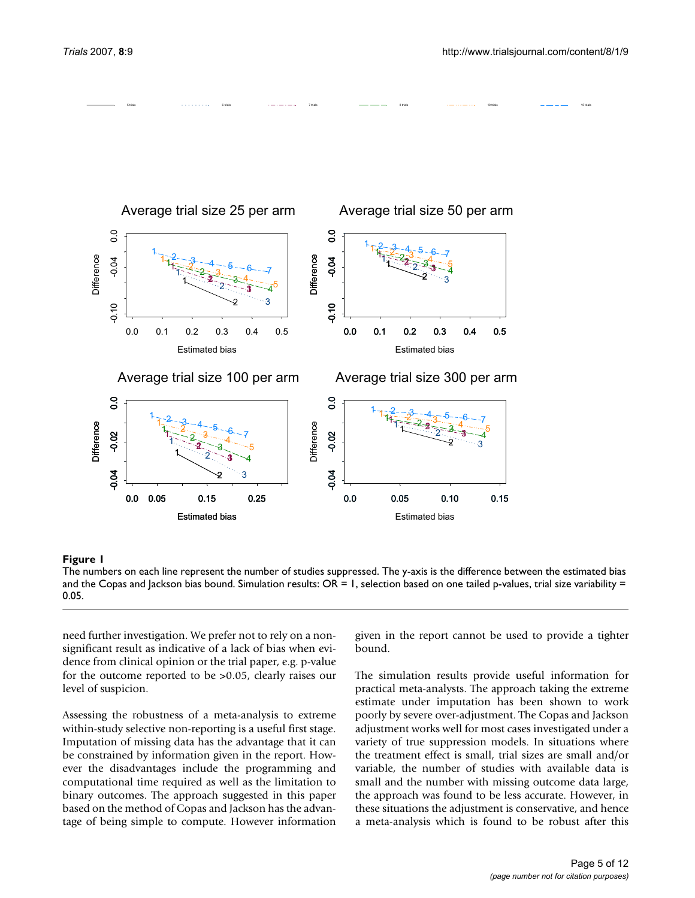

5 trials 6 trials 6 trials 15 trials 7 trials 15 trials 15 trials 15 trials 15 trials 15 trials 15 trials 15 trials

#### Figure 1

The numbers on each line represent the number of studies suppressed. The y-axis is the difference between the estimated bias and the Copas and Jackson bias bound. Simulation results:  $OR = I$ , selection based on one tailed p-values, trial size variability = 0.05.

need further investigation. We prefer not to rely on a nonsignificant result as indicative of a lack of bias when evidence from clinical opinion or the trial paper, e.g. p-value for the outcome reported to be >0.05, clearly raises our level of suspicion.

Assessing the robustness of a meta-analysis to extreme within-study selective non-reporting is a useful first stage. Imputation of missing data has the advantage that it can be constrained by information given in the report. However the disadvantages include the programming and computational time required as well as the limitation to binary outcomes. The approach suggested in this paper based on the method of Copas and Jackson has the advantage of being simple to compute. However information given in the report cannot be used to provide a tighter bound.

The simulation results provide useful information for practical meta-analysts. The approach taking the extreme estimate under imputation has been shown to work poorly by severe over-adjustment. The Copas and Jackson adjustment works well for most cases investigated under a variety of true suppression models. In situations where the treatment effect is small, trial sizes are small and/or variable, the number of studies with available data is small and the number with missing outcome data large, the approach was found to be less accurate. However, in these situations the adjustment is conservative, and hence a meta-analysis which is found to be robust after this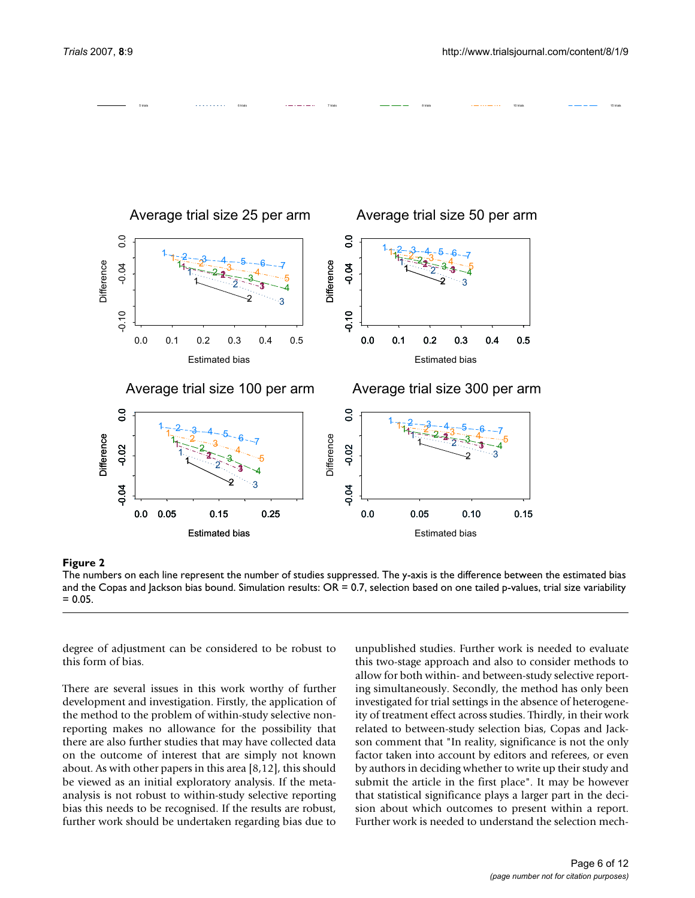

5 trials 19 trials 15 trials 15 trials 15 trials 15 trials 15 trials 15 trials 15 trials 15 trials 15 trials 1

#### Figure 2

The numbers on each line represent the number of studies suppressed. The y-axis is the difference between the estimated bias and the Copas and Jackson bias bound. Simulation results:  $OR = 0.7$ , selection based on one tailed p-values, trial size variability  $= 0.05.$ 

degree of adjustment can be considered to be robust to this form of bias.

There are several issues in this work worthy of further development and investigation. Firstly, the application of the method to the problem of within-study selective nonreporting makes no allowance for the possibility that there are also further studies that may have collected data on the outcome of interest that are simply not known about. As with other papers in this area [8,12], this should be viewed as an initial exploratory analysis. If the metaanalysis is not robust to within-study selective reporting bias this needs to be recognised. If the results are robust, further work should be undertaken regarding bias due to

unpublished studies. Further work is needed to evaluate this two-stage approach and also to consider methods to allow for both within- and between-study selective reporting simultaneously. Secondly, the method has only been investigated for trial settings in the absence of heterogeneity of treatment effect across studies. Thirdly, in their work related to between-study selection bias, Copas and Jackson comment that "In reality, significance is not the only factor taken into account by editors and referees, or even by authors in deciding whether to write up their study and submit the article in the first place". It may be however that statistical significance plays a larger part in the decision about which outcomes to present within a report. Further work is needed to understand the selection mech-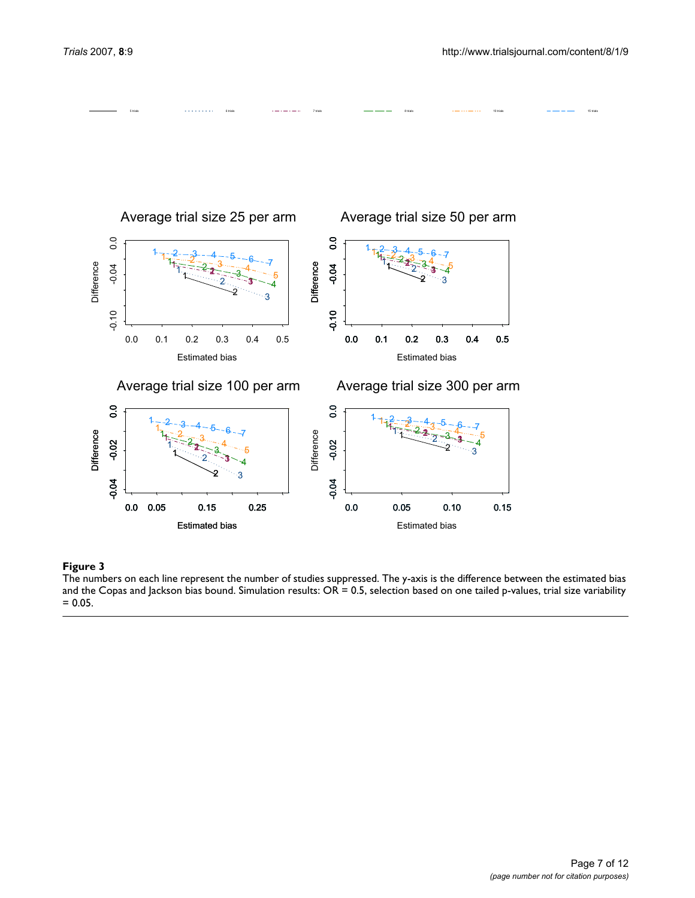

5 trials 15 trials 15 trials 15 trials 15 trials 15 trials 15 trials 15 trials 15 trials 15 trials 15 trials 1

#### Figure 3

The numbers on each line represent the number of studies suppressed. The y-axis is the difference between the estimated bias and the Copas and Jackson bias bound. Simulation results:  $OR = 0.5$ , selection based on one tailed p-values, trial size variability  $= 0.05.$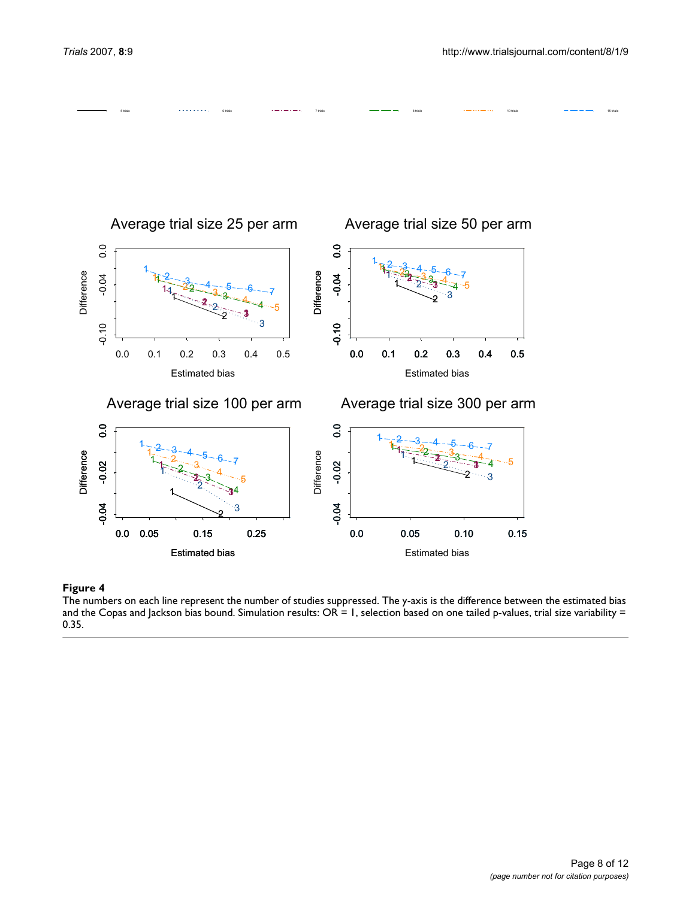

5 trials 8 trials 8 trials 8 trials 15 trials 7 trials 8 trials 8 trials 10 trials 10 trials 15 trials 15 trials 15 trials 15 trials 15 trials 15 trials 15 trials 15 trials 15 trials 15 trials 15 trials 15 trials 15 trials

#### Figure 4

The numbers on each line represent the number of studies suppressed. The y-axis is the difference between the estimated bias and the Copas and Jackson bias bound. Simulation results:  $OR = I$ , selection based on one tailed p-values, trial size variability = 0.35.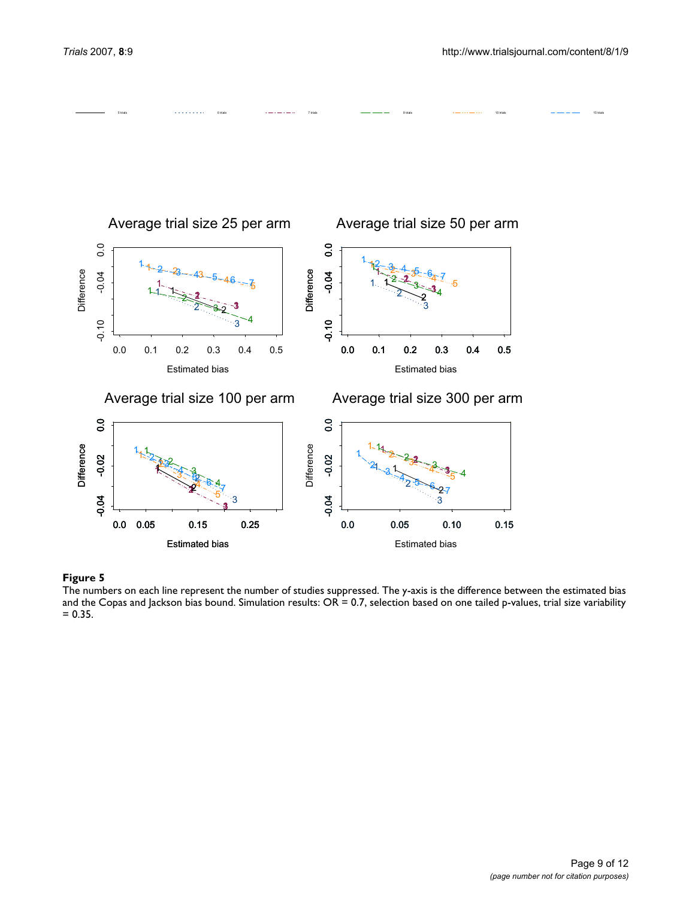

#### Figure 5

The numbers on each line represent the number of studies suppressed. The y-axis is the difference between the estimated bias and the Copas and Jackson bias bound. Simulation results:  $OR = 0.7$ , selection based on one tailed p-values, trial size variability  $= 0.35.$ 

5 trials 10 trials 15 trials 15 trials 15 trials 15 trials 15 trials 15 trials 15 trials 15 trials 15 trials 1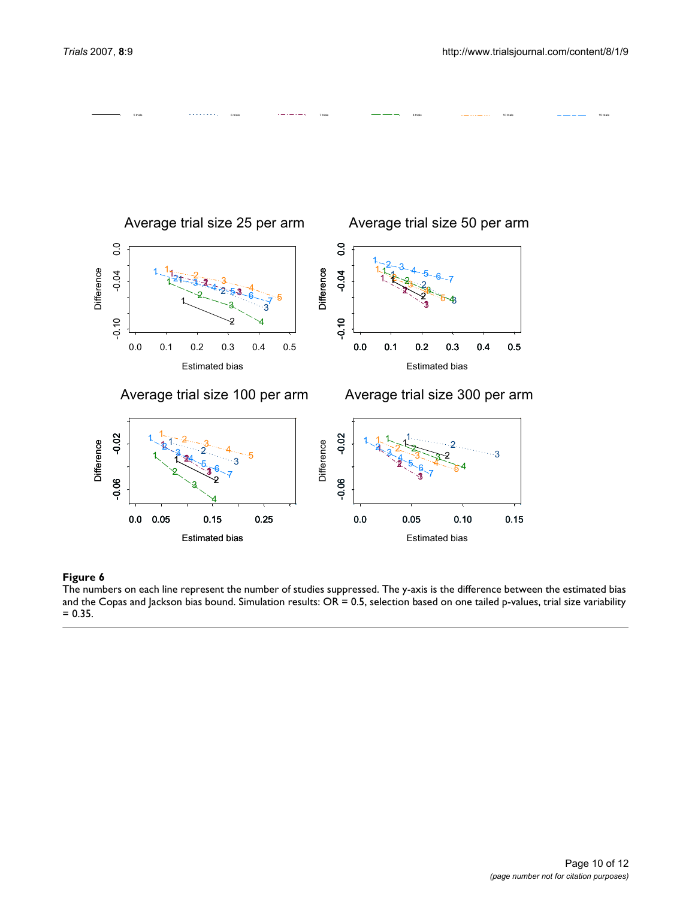

5 trials 5 trials 5 trials 15 trials 15 trials 15 trials 15 trials 15 trials 15 trials 15 trials 15 trials 15 trials 15 trials 15 trials 15 trials 15 trials 15 trials 15 trials 15 trials 15 trials 15 trials 15 trials 15 tr

#### Figure 6

The numbers on each line represent the number of studies suppressed. The y-axis is the difference between the estimated bias and the Copas and Jackson bias bound. Simulation results:  $OR = 0.5$ , selection based on one tailed p-values, trial size variability  $= 0.35.$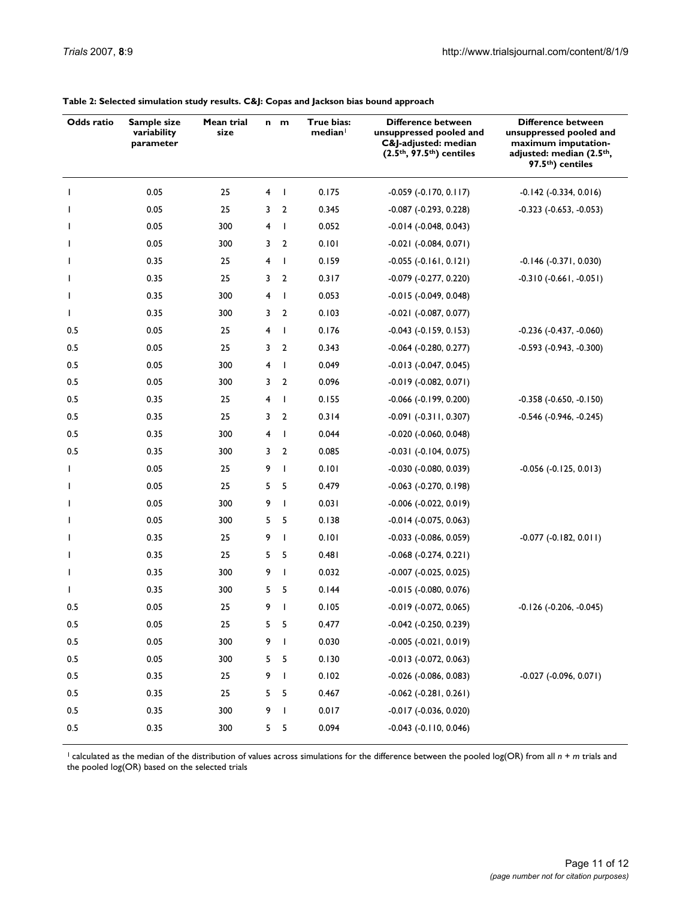| Odds ratio   | Sample size<br>variability<br>parameter | Mean trial<br>size |                | n m            | True bias:<br>median | <b>Difference between</b><br>unsuppressed pooled and<br>C&J-adjusted: median<br>$(2.5th, 97.5th)$ centiles | <b>Difference between</b><br>unsuppressed pooled and<br>maximum imputation-<br>adjusted: median (2.5 <sup>th</sup> ,<br>97.5th) centiles |
|--------------|-----------------------------------------|--------------------|----------------|----------------|----------------------|------------------------------------------------------------------------------------------------------------|------------------------------------------------------------------------------------------------------------------------------------------|
|              | 0.05                                    | 25                 | 4              | $\mathbf{I}$   | 0.175                | $-0.059$ $(-0.170, 0.117)$                                                                                 | -0.142 (-0.334, 0.016)                                                                                                                   |
|              | 0.05                                    | 25                 | 3              | $\overline{2}$ | 0.345                | $-0.087$ $(-0.293, 0.228)$                                                                                 | $-0.323$ $(-0.653, -0.053)$                                                                                                              |
|              | 0.05                                    | 300                | 4              | $\mathbf{I}$   | 0.052                | $-0.014$ ( $-0.048$ , $0.043$ )                                                                            |                                                                                                                                          |
|              | 0.05                                    | 300                | 3              | 2              | 0.101                | $-0.021$ ( $-0.084$ , $0.071$ )                                                                            |                                                                                                                                          |
|              | 0.35                                    | 25                 | 4              | $\mathbf{I}$   | 0.159                | $-0.055$ $(-0.161, 0.121)$                                                                                 | $-0.146$ ( $-0.371$ , $0.030$ )                                                                                                          |
| J.           | 0.35                                    | 25                 | 3              | $\overline{2}$ | 0.317                | $-0.079$ $(-0.277, 0.220)$                                                                                 | $-0.310(-0.661,-0.051)$                                                                                                                  |
|              | 0.35                                    | 300                | 4              | $\mathbf{I}$   | 0.053                | $-0.015$ ( $-0.049$ , $0.048$ )                                                                            |                                                                                                                                          |
| $\mathbf{I}$ | 0.35                                    | 300                | 3              | $\overline{2}$ | 0.103                | $-0.021$ $(-0.087, 0.077)$                                                                                 |                                                                                                                                          |
| 0.5          | 0.05                                    | 25                 | 4              | $\mathbf{I}$   | 0.176                | $-0.043$ $(-0.159, 0.153)$                                                                                 | $-0.236$ $(-0.437, -0.060)$                                                                                                              |
| 0.5          | 0.05                                    | 25                 | 3              | $\mathbf{2}$   | 0.343                | $-0.064$ $(-0.280, 0.277)$                                                                                 | $-0.593$ $(-0.943, -0.300)$                                                                                                              |
| 0.5          | 0.05                                    | 300                | 4              | $\mathbf{I}$   | 0.049                | $-0.013$ $(-0.047, 0.045)$                                                                                 |                                                                                                                                          |
| 0.5          | 0.05                                    | 300                | 3              | $\overline{2}$ | 0.096                | $-0.019$ $(-0.082, 0.071)$                                                                                 |                                                                                                                                          |
| 0.5          | 0.35                                    | 25                 | 4              | $\mathbf{I}$   | 0.155                | $-0.066$ $(-0.199, 0.200)$                                                                                 | $-0.358$ $(-0.650, -0.150)$                                                                                                              |
| 0.5          | 0.35                                    | 25                 | 3              | $\mathbf{2}$   | 0.314                | $-0.091$ ( $-0.311$ , $0.307$ )                                                                            | $-0.546$ $(-0.946, -0.245)$                                                                                                              |
| 0.5          | 0.35                                    | 300                | 4              | $\mathbf{I}$   | 0.044                | $-0.020$ $(-0.060, 0.048)$                                                                                 |                                                                                                                                          |
| 0.5          | 0.35                                    | 300                | 3              | $\overline{2}$ | 0.085                | $-0.031$ ( $-0.104$ , $0.075$ )                                                                            |                                                                                                                                          |
|              | 0.05                                    | 25                 | 9              | $\mathbf{I}$   | 0.101                | $-0.030$ $(-0.080, 0.039)$                                                                                 | $-0.056$ $(-0.125, 0.013)$                                                                                                               |
|              | 0.05                                    | 25                 | 5              | 5              | 0.479                | $-0.063$ $(-0.270, 0.198)$                                                                                 |                                                                                                                                          |
|              | 0.05                                    | 300                | 9              | $\mathbf{I}$   | 0.031                | $-0.006$ $(-0.022, 0.019)$                                                                                 |                                                                                                                                          |
|              | 0.05                                    | 300                | 5              | 5              | 0.138                | $-0.014$ ( $-0.075$ , 0.063)                                                                               |                                                                                                                                          |
|              | 0.35                                    | 25                 | 9              | $\mathbf{I}$   | 0.101                | $-0.033$ $(-0.086, 0.059)$                                                                                 | $-0.077$ $(-0.182, 0.011)$                                                                                                               |
|              | 0.35                                    | 25                 | 5              | 5              | 0.481                | $-0.068$ $(-0.274, 0.221)$                                                                                 |                                                                                                                                          |
|              | 0.35                                    | 300                | 9              | $\mathbf{I}$   | 0.032                | $-0.007$ $(-0.025, 0.025)$                                                                                 |                                                                                                                                          |
|              | 0.35                                    | 300                | 5              | 5              | 0.144                | $-0.015$ ( $-0.080$ , $0.076$ )                                                                            |                                                                                                                                          |
| 0.5          | 0.05                                    | 25                 | 9              | $\mathbf{I}$   | 0.105                | $-0.019$ $(-0.072, 0.065)$                                                                                 | $-0.126$ ( $-0.206$ , $-0.045$ )                                                                                                         |
| 0.5          | 0.05                                    | 25                 | 5              | $\sqrt{5}$     | 0.477                | $-0.042$ $(-0.250, 0.239)$                                                                                 |                                                                                                                                          |
| 0.5          | 0.05                                    | 300                | 9              | I              | 0.030                | $-0.005$ $(-0.021, 0.019)$                                                                                 |                                                                                                                                          |
| 0.5          | 0.05                                    | 300                | 5              | 5              | 0.130                | $-0.013$ $(-0.072, 0.063)$                                                                                 |                                                                                                                                          |
| 0.5          | 0.35                                    | 25                 | 9              | $\mathbf{I}$   | 0.102                | $-0.026$ ( $-0.086$ , $0.083$ )                                                                            | $-0.027$ $(-0.096, 0.071)$                                                                                                               |
| 0.5          | 0.35                                    | 25                 | 5              | 5              | 0.467                | $-0.062$ $(-0.281, 0.261)$                                                                                 |                                                                                                                                          |
| 0.5          | 0.35                                    | 300                | 9              | -1             | 0.017                | $-0.017$ ( $-0.036$ , $0.020$ )                                                                            |                                                                                                                                          |
| 0.5          | 0.35                                    | 300                | 5 <sub>1</sub> | 5              | 0.094                | $-0.043$ $(-0.110, 0.046)$                                                                                 |                                                                                                                                          |

#### **Table 2: Selected simulation study results. C&J: Copas and Jackson bias bound approach**

1 calculated as the median of the distribution of values across simulations for the difference between the pooled log(OR) from all *n* + *m* trials and the pooled log(OR) based on the selected trials